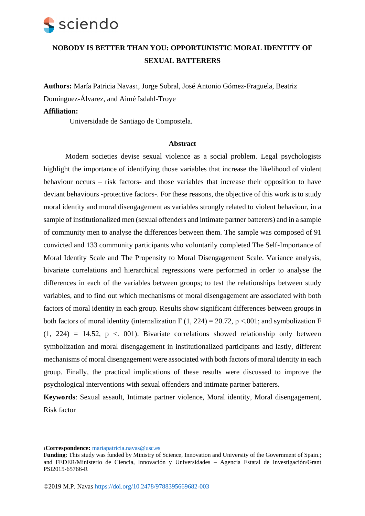## **NOBODY IS BETTER THAN YOU: OPPORTUNISTIC MORAL IDENTITY OF SEXUAL BATTERERS**

**Authors:** María Patricia Navas1, Jorge Sobral, José Antonio Gómez-Fraguela, Beatriz Domínguez-Álvarez, and Aimé Isdahl-Troye

### **Affiliation:**

Universidade de Santiago de Compostela.

### **Abstract**

Modern societies devise sexual violence as a social problem. Legal psychologists highlight the importance of identifying those variables that increase the likelihood of violent behaviour occurs – risk factors- and those variables that increase their opposition to have deviant behaviours -protective factors-. For these reasons, the objective of this work is to study moral identity and moral disengagement as variables strongly related to violent behaviour, in a sample of institutionalized men (sexual offenders and intimate partner batterers) and in a sample of community men to analyse the differences between them. The sample was composed of 91 convicted and 133 community participants who voluntarily completed The Self-Importance of Moral Identity Scale and The Propensity to Moral Disengagement Scale. Variance analysis, bivariate correlations and hierarchical regressions were performed in order to analyse the differences in each of the variables between groups; to test the relationships between study variables, and to find out which mechanisms of moral disengagement are associated with both factors of moral identity in each group. Results show significant differences between groups in both factors of moral identity (internalization F  $(1, 224) = 20.72$ , p <.001; and symbolization F  $(1, 224) = 14.52$ ,  $p < 001$ ). Bivariate correlations showed relationship only between symbolization and moral disengagement in institutionalized participants and lastly, different mechanisms of moral disengagement were associated with both factors of moral identity in each group. Finally, the practical implications of these results were discussed to improve the psychological interventions with sexual offenders and intimate partner batterers.

**Keywords**: Sexual assault, Intimate partner violence, Moral identity, Moral disengagement, Risk factor

<sup>1</sup>**Correspondence:** [mariapatricia.navas@usc.es](mailto:mariapatricia.navas@usc.es)

Funding: This study was funded by Ministry of Science, Innovation and University of the Government of Spain.; and FEDER/Ministerio de Ciencia, Innovación y Universidades – Agencia Estatal de Investigación/Grant PSI2015-65766-R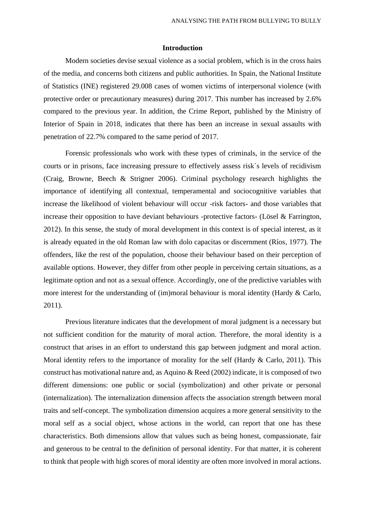#### **Introduction**

Modern societies devise sexual violence as a social problem, which is in the cross hairs of the media, and concerns both citizens and public authorities. In Spain, the National Institute of Statistics (INE) registered 29.008 cases of women victims of interpersonal violence (with protective order or precautionary measures) during 2017. This number has increased by 2.6% compared to the previous year. In addition, the Crime Report, published by the Ministry of Interior of Spain in 2018, indicates that there has been an increase in sexual assaults with penetration of 22.7% compared to the same period of 2017.

Forensic professionals who work with these types of criminals, in the service of the courts or in prisons, face increasing pressure to effectively assess risk´s levels of recidivism (Craig, Browne, Beech & Strigner 2006). Criminal psychology research highlights the importance of identifying all contextual, temperamental and sociocognitive variables that increase the likelihood of violent behaviour will occur -risk factors- and those variables that increase their opposition to have deviant behaviours -protective factors- (Lösel  $\&$  Farrington, 2012). In this sense, the study of moral development in this context is of special interest, as it is already equated in the old Roman law with dolo capacitas or discernment (Ríos, 1977). The offenders, like the rest of the population, choose their behaviour based on their perception of available options. However, they differ from other people in perceiving certain situations, as a legitimate option and not as a sexual offence. Accordingly, one of the predictive variables with more interest for the understanding of (im)moral behaviour is moral identity (Hardy & Carlo, 2011).

Previous literature indicates that the development of moral judgment is a necessary but not sufficient condition for the maturity of moral action. Therefore, the moral identity is a construct that arises in an effort to understand this gap between judgment and moral action. Moral identity refers to the importance of morality for the self (Hardy & Carlo, 2011). This construct has motivational nature and, as Aquino & Reed (2002) indicate, it is composed of two different dimensions: one public or social (symbolization) and other private or personal (internalization). The internalization dimension affects the association strength between moral traits and self-concept. The symbolization dimension acquires a more general sensitivity to the moral self as a social object, whose actions in the world, can report that one has these characteristics. Both dimensions allow that values such as being honest, compassionate, fair and generous to be central to the definition of personal identity. For that matter, it is coherent to think that people with high scores of moral identity are often more involved in moral actions.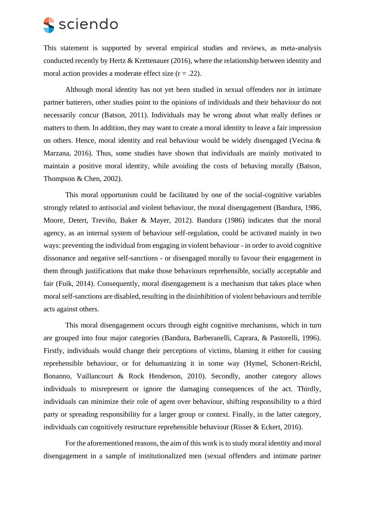This statement is supported by several empirical studies and reviews, as meta-analysis conducted recently by Hertz & Krettenauer (2016), where the relationship between identity and moral action provides a moderate effect size  $(r = .22)$ .

Although moral identity has not yet been studied in sexual offenders nor in intimate partner batterers, other studies point to the opinions of individuals and their behaviour do not necessarily concur (Batson, 2011). Individuals may be wrong about what really defines or matters to them. In addition, they may want to create a moral identity to leave a fair impression on others. Hence, moral identity and real behaviour would be widely disengaged (Vecina & Marzana, 2016). Thus, some studies have shown that individuals are mainly motivated to maintain a positive moral identity, while avoiding the costs of behaving morally (Batson, Thompson & Chen, 2002).

This moral opportunism could be facilitated by one of the social-cognitive variables strongly related to antisocial and violent behaviour, the moral disengagement (Bandura, 1986, Moore, Detert, Treviño, Baker & Mayer, 2012). Bandura (1986) indicates that the moral agency, as an internal system of behaviour self-regulation, could be activated mainly in two ways: preventing the individual from engaging in violent behaviour - in order to avoid cognitive dissonance and negative self-sanctions - or disengaged morally to favour their engagement in them through justifications that make those behaviours reprehensible, socially acceptable and fair (Fuik, 2014). Consequently, moral disengagement is a mechanism that takes place when moral self-sanctions are disabled, resulting in the disinhibition of violent behaviours and terrible acts against others.

This moral disengagement occurs through eight cognitive mechanisms, which in turn are grouped into four major categories (Bandura, Barberanelli, Caprara, & Pastorelli, 1996). Firstly, individuals would change their perceptions of victims, blaming it either for causing reprehensible behaviour, or for dehumanizing it in some way (Hymel, Schonert-Reichl, Bonanno, Vaillancourt & Rock Henderson, 2010). Secondly, another category allows individuals to misrepresent or ignore the damaging consequences of the act. Thirdly, individuals can minimize their role of agent over behaviour, shifting responsibility to a third party or spreading responsibility for a larger group or context. Finally, in the latter category, individuals can cognitively restructure reprehensible behaviour (Risser & Eckert, 2016).

For the aforementioned reasons, the aim of this work is to study moral identity and moral disengagement in a sample of institutionalized men (sexual offenders and intimate partner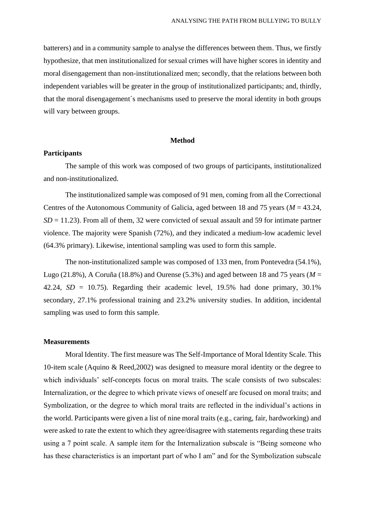batterers) and in a community sample to analyse the differences between them. Thus, we firstly hypothesize, that men institutionalized for sexual crimes will have higher scores in identity and moral disengagement than non-institutionalized men; secondly, that the relations between both independent variables will be greater in the group of institutionalized participants; and, thirdly, that the moral disengagement´s mechanisms used to preserve the moral identity in both groups will vary between groups.

#### **Method**

### **Participants**

The sample of this work was composed of two groups of participants, institutionalized and non-institutionalized.

The institutionalized sample was composed of 91 men, coming from all the Correctional Centres of the Autonomous Community of Galicia, aged between 18 and 75 years (*M* = 43.24,  $SD = 11.23$ ). From all of them, 32 were convicted of sexual assault and 59 for intimate partner violence. The majority were Spanish (72%), and they indicated a medium-low academic level (64.3% primary). Likewise, intentional sampling was used to form this sample.

The non-institutionalized sample was composed of 133 men, from Pontevedra (54.1%), Lugo (21.8%), A Coruña (18.8%) and Ourense (5.3%) and aged between 18 and 75 years ( $M =$ 42.24,  $SD = 10.75$ ). Regarding their academic level, 19.5% had done primary, 30.1% secondary, 27.1% professional training and 23.2% university studies. In addition, incidental sampling was used to form this sample.

#### **Measurements**

Moral Identity. The first measure was The Self-Importance of Moral Identity Scale. This 10-item scale (Aquino & Reed,2002) was designed to measure moral identity or the degree to which individuals' self-concepts focus on moral traits. The scale consists of two subscales: Internalization, or the degree to which private views of oneself are focused on moral traits; and Symbolization, or the degree to which moral traits are reflected in the individual's actions in the world. Participants were given a list of nine moral traits (e.g., caring, fair, hardworking) and were asked to rate the extent to which they agree/disagree with statements regarding these traits using a 7 point scale. A sample item for the Internalization subscale is "Being someone who has these characteristics is an important part of who I am" and for the Symbolization subscale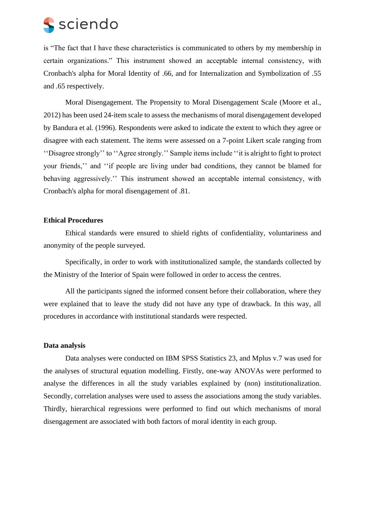is "The fact that I have these characteristics is communicated to others by my membership in certain organizations." This instrument showed an acceptable internal consistency, with Cronbach's alpha for Moral Identity of .66, and for Internalization and Symbolization of .55 and .65 respectively.

Moral Disengagement. The Propensity to Moral Disengagement Scale (Moore et al., 2012) has been used 24-item scale to assess the mechanisms of moral disengagement developed by Bandura et al. (1996). Respondents were asked to indicate the extent to which they agree or disagree with each statement. The items were assessed on a 7-point Likert scale ranging from ''Disagree strongly'' to ''Agree strongly.'' Sample items include ''it is alright to fight to protect your friends,'' and ''if people are living under bad conditions, they cannot be blamed for behaving aggressively.'' This instrument showed an acceptable internal consistency, with Cronbach's alpha for moral disengagement of .81.

### **Ethical Procedures**

Ethical standards were ensured to shield rights of confidentiality, voluntariness and anonymity of the people surveyed.

Specifically, in order to work with institutionalized sample, the standards collected by the Ministry of the Interior of Spain were followed in order to access the centres.

All the participants signed the informed consent before their collaboration, where they were explained that to leave the study did not have any type of drawback. In this way, all procedures in accordance with institutional standards were respected.

### **Data analysis**

Data analyses were conducted on IBM SPSS Statistics 23, and Mplus v.7 was used for the analyses of structural equation modelling. Firstly, one-way ANOVAs were performed to analyse the differences in all the study variables explained by (non) institutionalization. Secondly, correlation analyses were used to assess the associations among the study variables. Thirdly, hierarchical regressions were performed to find out which mechanisms of moral disengagement are associated with both factors of moral identity in each group.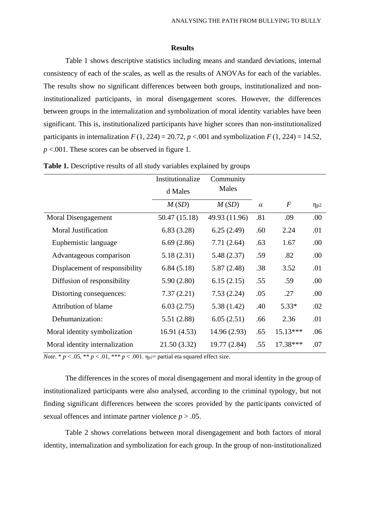#### **Results**

Table 1 shows descriptive statistics including means and standard deviations, internal consistency of each of the scales, as well as the results of ANOVAs for each of the variables. The results show no significant differences between both groups, institutionalized and noninstitutionalized participants, in moral disengagement scores. However, the differences between groups in the internalization and symbolization of moral identity variables have been significant. This is, institutionalized participants have higher scores than non-institutionalized participants in internalization  $F(1, 224) = 20.72$ ,  $p < .001$  and symbolization  $F(1, 224) = 14.52$ , *p* <.001. These scores can be observed in figure 1.

|                                | Institutionalize | Community     |          |                  |             |
|--------------------------------|------------------|---------------|----------|------------------|-------------|
|                                | d Males          | Males         |          |                  |             |
|                                | M(SD)            | M(SD)         | $\alpha$ | $\boldsymbol{F}$ | $\eta_{p2}$ |
| Moral Disengagement            | 50.47 (15.18)    | 49.93 (11.96) | .81      | .09              | .00.        |
| <b>Moral Justification</b>     | 6.83(3.28)       | 6.25(2.49)    | .60      | 2.24             | .01         |
| Euphemistic language           | 6.69(2.86)       | 7.71(2.64)    | .63      | 1.67             | .00.        |
| Advantageous comparison        | 5.18(2.31)       | 5.48(2.37)    | .59      | .82              | .00.        |
| Displacement of responsibility | 6.84(5.18)       | 5.87(2.48)    | .38      | 3.52             | .01         |
| Diffusion of responsibility    | 5.90(2.80)       | 6.15(2.15)    | .55      | .59              | .00         |
| Distorting consequences:       | 7.37(2.21)       | 7.53(2.24)    | .05      | .27              | .00.        |
| Attribution of blame           | 6.03(2.75)       | 5.38(1.42)    | .40      | $5.33*$          | .02         |
| Dehumanization:                | 5.51(2.88)       | 6.05(2.51)    | .66      | 2.36             | .01         |
| Moral identity symbolization   | 16.91(4.53)      | 14.96 (2.93)  | .65      | 15.13***         | .06         |
| Moral identity internalization | 21.50 (3.32)     | 19.77 (2.84)  | .55      | 17.38***         | .07         |

**Table 1.** Descriptive results of all study variables explained by groups

*Note.*  $* p < .05$ ,  $** p < .01$ ,  $** p < .001$ .  $\eta_{p2}$  partial eta squared effect size.

The differences in the scores of moral disengagement and moral identity in the group of institutionalized participants were also analysed, according to the criminal typology, but not finding significant differences between the scores provided by the participants convicted of sexual offences and intimate partner violence *p* > .05.

Table 2 shows correlations between moral disengagement and both factors of moral identity, internalization and symbolization for each group. In the group of non-institutionalized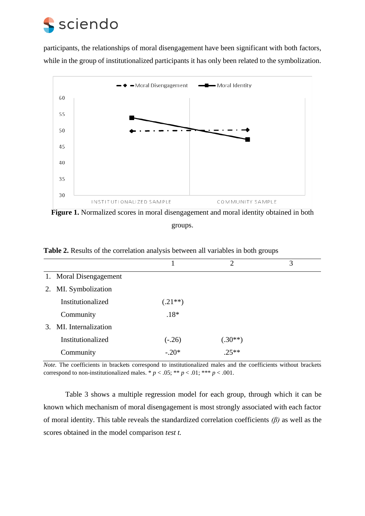participants, the relationships of moral disengagement have been significant with both factors, while in the group of institutionalized participants it has only been related to the symbolization.



Figure 1. Normalized scores in moral disengagement and moral identity obtained in both groups.

|                        |           | $\overline{2}$ | 3 |
|------------------------|-----------|----------------|---|
| 1. Moral Disengagement |           |                |   |
| 2. MI. Symbolization   |           |                |   |
| Institutionalized      | $(.21**)$ |                |   |
| Community              | $.18*$    |                |   |
| 3. MI. Internalization |           |                |   |
| Institutionalized      | $(-.26)$  | $(.30**)$      |   |
| Community              | $-.20*$   | $.25**$        |   |

**Table 2.** Results of the correlation analysis between all variables in both groups

*Note.* The coefficients in brackets correspond to institutionalized males and the coefficients without brackets correspond to non-institutionalized males. \*  $p < .05$ ; \*\*  $p < .01$ ; \*\*\*  $p < .001$ .

Table 3 shows a multiple regression model for each group, through which it can be known which mechanism of moral disengagement is most strongly associated with each factor of moral identity. This table reveals the standardized correlation coefficients *(β)* as well as the scores obtained in the model comparison *test t.*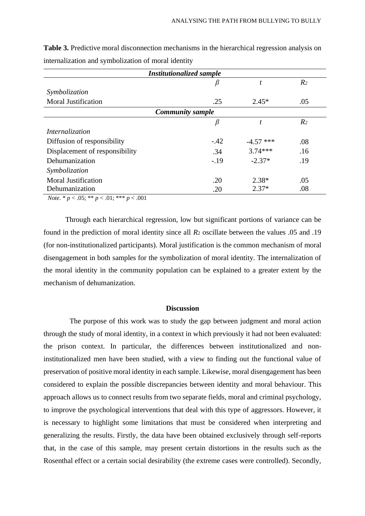| <b>Institutionalized sample</b> |        |             |                |  |  |  |  |
|---------------------------------|--------|-------------|----------------|--|--|--|--|
|                                 | β      | t           | R <sub>2</sub> |  |  |  |  |
| Symbolization                   |        |             |                |  |  |  |  |
| <b>Moral Justification</b>      | .25    | $2.45*$     | .05            |  |  |  |  |
| <b>Community sample</b>         |        |             |                |  |  |  |  |
|                                 | β      | t           | R <sub>2</sub> |  |  |  |  |
| Internalization                 |        |             |                |  |  |  |  |
| Diffusion of responsibility     | $-.42$ | $-4.57$ *** | .08            |  |  |  |  |
| Displacement of responsibility  | .34    | $3.74***$   | .16            |  |  |  |  |
| Dehumanization                  | $-.19$ | $-2.37*$    | .19            |  |  |  |  |
| Symbolization                   |        |             |                |  |  |  |  |
| <b>Moral Justification</b>      | .20    | $2.38*$     | .05            |  |  |  |  |
| Dehumanization                  | .20    | $2.37*$     | .08            |  |  |  |  |

**Table 3.** Predictive moral disconnection mechanisms in the hierarchical regression analysis on internalization and symbolization of moral identity

*Note.* \* *p* < .05; \*\* *p* < .01; \*\*\* *p* < .001

Through each hierarchical regression, low but significant portions of variance can be found in the prediction of moral identity since all *R*<sup>2</sup> oscillate between the values .05 and .19 (for non-institutionalized participants). Moral justification is the common mechanism of moral disengagement in both samples for the symbolization of moral identity. The internalization of the moral identity in the community population can be explained to a greater extent by the mechanism of dehumanization.

#### **Discussion**

The purpose of this work was to study the gap between judgment and moral action through the study of moral identity, in a context in which previously it had not been evaluated: the prison context. In particular, the differences between institutionalized and noninstitutionalized men have been studied, with a view to finding out the functional value of preservation of positive moral identity in each sample. Likewise, moral disengagement has been considered to explain the possible discrepancies between identity and moral behaviour. This approach allows us to connect results from two separate fields, moral and criminal psychology, to improve the psychological interventions that deal with this type of aggressors. However, it is necessary to highlight some limitations that must be considered when interpreting and generalizing the results. Firstly, the data have been obtained exclusively through self-reports that, in the case of this sample, may present certain distortions in the results such as the Rosenthal effect or a certain social desirability (the extreme cases were controlled). Secondly,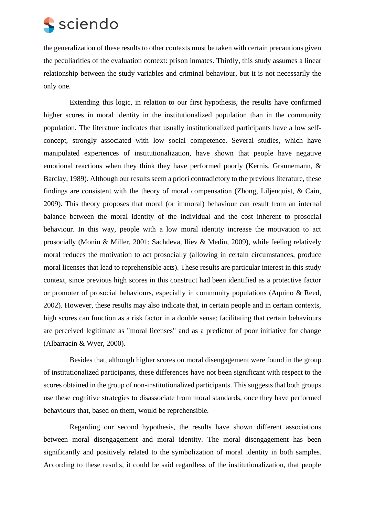the generalization of these results to other contexts must be taken with certain precautions given the peculiarities of the evaluation context: prison inmates. Thirdly, this study assumes a linear relationship between the study variables and criminal behaviour, but it is not necessarily the only one.

Extending this logic, in relation to our first hypothesis, the results have confirmed higher scores in moral identity in the institutionalized population than in the community population. The literature indicates that usually institutionalized participants have a low selfconcept, strongly associated with low social competence. Several studies, which have manipulated experiences of institutionalization, have shown that people have negative emotional reactions when they think they have performed poorly (Kernis, Grannemann, & Barclay, 1989). Although our results seem a priori contradictory to the previous literature, these findings are consistent with the theory of moral compensation (Zhong, Lilienquist,  $\&$  Cain, 2009). This theory proposes that moral (or immoral) behaviour can result from an internal balance between the moral identity of the individual and the cost inherent to prosocial behaviour. In this way, people with a low moral identity increase the motivation to act prosocially (Monin & Miller, 2001; Sachdeva, Iliev & Medin, 2009), while feeling relatively moral reduces the motivation to act prosocially (allowing in certain circumstances, produce moral licenses that lead to reprehensible acts). These results are particular interest in this study context, since previous high scores in this construct had been identified as a protective factor or promoter of prosocial behaviours, especially in community populations (Aquino & Reed, 2002). However, these results may also indicate that, in certain people and in certain contexts, high scores can function as a risk factor in a double sense: facilitating that certain behaviours are perceived legitimate as "moral licenses" and as a predictor of poor initiative for change (Albarracín & Wyer, 2000).

Besides that, although higher scores on moral disengagement were found in the group of institutionalized participants, these differences have not been significant with respect to the scores obtained in the group of non-institutionalized participants. This suggests that both groups use these cognitive strategies to disassociate from moral standards, once they have performed behaviours that, based on them, would be reprehensible.

Regarding our second hypothesis, the results have shown different associations between moral disengagement and moral identity. The moral disengagement has been significantly and positively related to the symbolization of moral identity in both samples. According to these results, it could be said regardless of the institutionalization, that people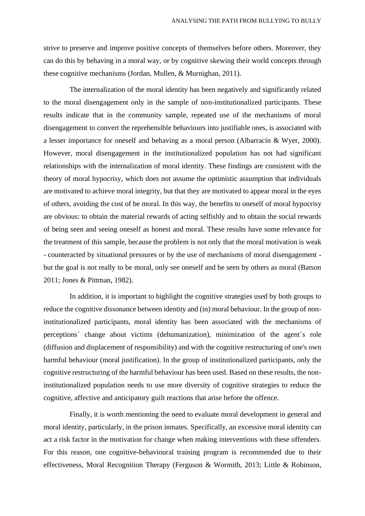strive to preserve and improve positive concepts of themselves before others. Moreover, they can do this by behaving in a moral way, or by cognitive skewing their world concepts through these cognitive mechanisms (Jordan, Mullen, & Murnighan, 2011).

The internalization of the moral identity has been negatively and significantly related to the moral disengagement only in the sample of non-institutionalized participants. These results indicate that in the community sample, repeated use of the mechanisms of moral disengagement to convert the reprehensible behaviours into justifiable ones, is associated with a lesser importance for oneself and behaving as a moral person (Albarracín & Wyer, 2000). However, moral disengagement in the institutionalized population has not had significant relationships with the internalization of moral identity. These findings are consistent with the theory of moral hypocrisy, which does not assume the optimistic assumption that individuals are motivated to achieve moral integrity, but that they are motivated to appear moral in the eyes of others, avoiding the cost of be moral. In this way, the benefits to oneself of moral hypocrisy are obvious: to obtain the material rewards of acting selfishly and to obtain the social rewards of being seen and seeing oneself as honest and moral. These results have some relevance for the treatment of this sample, because the problem is not only that the moral motivation is weak - counteracted by situational pressures or by the use of mechanisms of moral disengagement but the goal is not really to be moral, only see oneself and be seen by others as moral (Batson 2011; Jones & Pittman, 1982).

In addition, it is important to highlight the cognitive strategies used by both groups to reduce the cognitive dissonance between identity and (in) moral behaviour. In the group of noninstitutionalized participants, moral identity has been associated with the mechanisms of perceptions´ change about victims (dehumanization), minimization of the agent´s role (diffusion and displacement of responsibility) and with the cognitive restructuring of one's own harmful behaviour (moral justification). In the group of institutionalized participants, only the cognitive restructuring of the harmful behaviour has been used. Based on these results, the noninstitutionalized population needs to use more diversity of cognitive strategies to reduce the cognitive, affective and anticipatory guilt reactions that arise before the offence.

Finally, it is worth mentioning the need to evaluate moral development in general and moral identity, particularly, in the prison inmates. Specifically, an excessive moral identity can act a risk factor in the motivation for change when making interventions with these offenders. For this reason, one cognitive-behavioural training program is recommended due to their effectiveness, Moral Recognition Therapy (Ferguson & Wormith, 2013; Little & Robinson,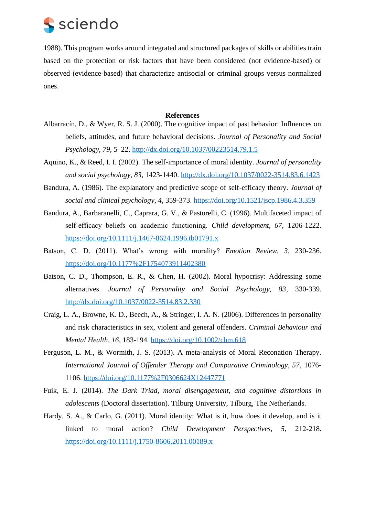

1988). This program works around integrated and structured packages of skills or abilities train based on the protection or risk factors that have been considered (not evidence-based) or observed (evidence-based) that characterize antisocial or criminal groups versus normalized ones.

#### **References**

- Albarracín, D., & Wyer, R. S. J. (2000). The cognitive impact of past behavior: Influences on beliefs, attitudes, and future behavioral decisions. *Journal of Personality and Social Psychology, 79*, 5–22.<http://dx.doi.org/10.1037/00223514.79.1.5>
- Aquino, K., & Reed, I. I. (2002). The self-importance of moral identity. *Journal of personality and social psychology, 83*, 1423-1440.<http://dx.doi.org/10.1037/0022-3514.83.6.1423>
- Bandura, A. (1986). The explanatory and predictive scope of self-efficacy theory. *Journal of social and clinical psychology, 4*, 359-373.<https://doi.org/10.1521/jscp.1986.4.3.359>
- Bandura, A., Barbaranelli, C., Caprara, G. V., & Pastorelli, C. (1996). Multifaceted impact of self‐efficacy beliefs on academic functioning. *Child development, 67,* 1206-1222. <https://doi.org/10.1111/j.1467-8624.1996.tb01791.x>
- Batson, C. D. (2011). What's wrong with morality? *Emotion Review, 3*, 230-236. <https://doi.org/10.1177%2F1754073911402380>
- Batson, C. D., Thompson, E. R., & Chen, H. (2002). Moral hypocrisy: Addressing some alternatives. *Journal of Personality and Social Psychology, 83*, 330-339. <http://dx.doi.org/10.1037/0022-3514.83.2.330>
- Craig, L. A., Browne, K. D., Beech, A., & Stringer, I. A. N. (2006). Differences in personality and risk characteristics in sex, violent and general offenders. *Criminal Behaviour and Mental Health, 16*, 183-194.<https://doi.org/10.1002/cbm.618>
- Ferguson, L. M., & Wormith, J. S. (2013). A meta-analysis of Moral Reconation Therapy. *International Journal of Offender Therapy and Comparative Criminology, 57*, 1076- 1106.<https://doi.org/10.1177%2F0306624X12447771>
- Fuik, E. J. (2014). *The Dark Triad, moral disengagement, and cognitive distortions in adolescents* (Doctoral dissertation). Tilburg University, Tilburg, The Netherlands.
- Hardy, S. A., & Carlo, G. (2011). Moral identity: What is it, how does it develop, and is it linked to moral action? *Child Development Perspectives, 5*, 212-218. <https://doi.org/10.1111/j.1750-8606.2011.00189.x>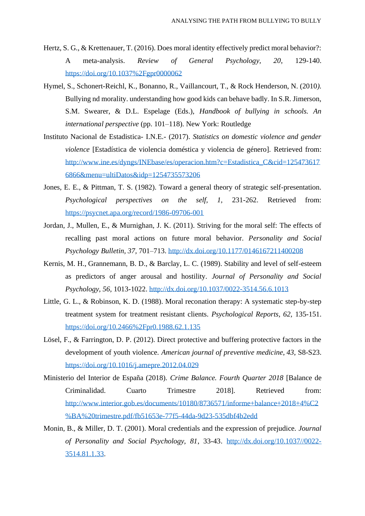- Hertz, S. G., & Krettenauer, T. (2016). Does moral identity effectively predict moral behavior?: A meta-analysis. *Review of General Psychology, 20*, 129-140. <https://doi.org/10.1037%2Fgpr0000062>
- Hymel, S., Schonert-Reichl, K., Bonanno, R., Vaillancourt, T., & Rock Henderson, N. (2010*).*  Bullying nd morality. understanding how good kids can behave badly. In S.R. Jimerson, S.M. Swearer, & D.L. Espelage (Eds.), *Handbook of bullying in schools. An international perspective* (pp. 101–118). New York: Routledge
- Instituto Nacional de Estadistica- I.N.E.- (2017). *Statistics on domestic violence and gender violence* [Estadística de violencia doméstica y violencia de género]. Retrieved from: [http://www.ine.es/dyngs/INEbase/es/operacion.htm?c=Estadistica\\_C&cid=125473617](http://www.ine.es/dyngs/INEbase/es/operacion.htm?c=Estadistica_C&cid=1254736176866&menu=ultiDatos&idp=1254735573206) [6866&menu=ultiDatos&idp=1254735573206](http://www.ine.es/dyngs/INEbase/es/operacion.htm?c=Estadistica_C&cid=1254736176866&menu=ultiDatos&idp=1254735573206)
- Jones, E. E., & Pittman, T. S. (1982). Toward a general theory of strategic self-presentation. *Psychological perspectives on the self, 1,* 231-262. Retrieved from: <https://psycnet.apa.org/record/1986-09706-001>
- Jordan, J., Mullen, E., & Murnighan, J. K. (2011). Striving for the moral self: The effects of recalling past moral actions on future moral behavior. *Personality and Social Psychology Bulletin, 37,* 701–713.<http://dx.doi.org/10.1177/0146167211400208>
- Kernis, M. H., Grannemann, B. D., & Barclay, L. C. (1989). Stability and level of self-esteem as predictors of anger arousal and hostility. *Journal of Personality and Social Psychology, 56,* 1013-1022.<http://dx.doi.org/10.1037/0022-3514.56.6.1013>
- Little, G. L., & Robinson, K. D. (1988). Moral reconation therapy: A systematic step-by-step treatment system for treatment resistant clients*. Psychological Reports, 62,* 135-151. <https://doi.org/10.2466%2Fpr0.1988.62.1.135>
- Lösel, F., & Farrington, D. P. (2012). Direct protective and buffering protective factors in the development of youth violence. *American journal of preventive medicine*, *43*, S8-S23. <https://doi.org/10.1016/j.amepre.2012.04.029>
- Ministerio del Interior de España (2018). *Crime Balance. Fourth Quarter 2018* [Balance de Criminalidad. Cuarto Trimestre 2018]. Retrieved from: [http://www.interior.gob.es/documents/10180/8736571/informe+balance+2018+4%C2](http://www.interior.gob.es/documents/10180/8736571/informe+balance+2018+4%C2%BA%20trimestre.pdf/fb51653e-77f5-44da-9d23-535dbf4b2edd) [%BA%20trimestre.pdf/fb51653e-77f5-44da-9d23-535dbf4b2edd](http://www.interior.gob.es/documents/10180/8736571/informe+balance+2018+4%C2%BA%20trimestre.pdf/fb51653e-77f5-44da-9d23-535dbf4b2edd)
- Monin, B., & Miller, D. T. (2001). Moral credentials and the expression of prejudice. *Journal of Personality and Social Psychology, 81*, 33-43. [http://dx.doi.org/10.1037//0022-](http://dx.doi.org/10.1037/0022-3514.81.1.33) [3514.81.1.33.](http://dx.doi.org/10.1037/0022-3514.81.1.33)